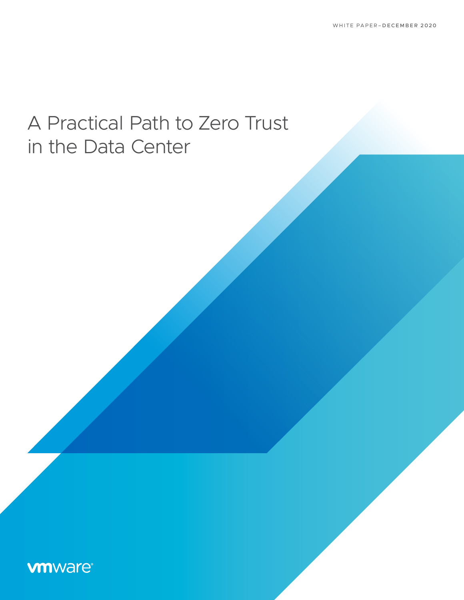# A Practical Path to Zero Trust in the Data Center

# **vm**ware<sup>®</sup>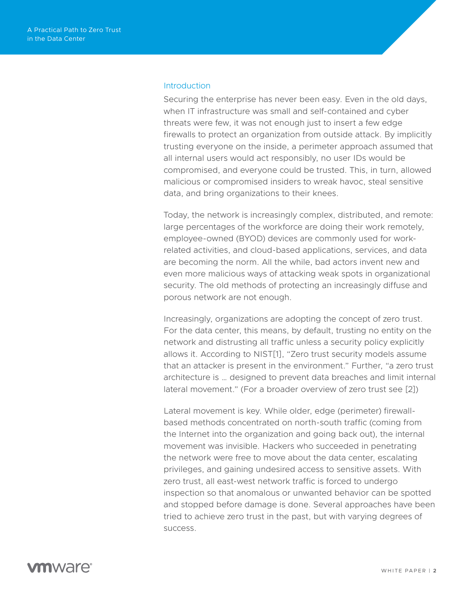#### **Introduction**

Securing the enterprise has never been easy. Even in the old days, when IT infrastructure was small and self-contained and cyber threats were few, it was not enough just to insert a few edge firewalls to protect an organization from outside attack. By implicitly trusting everyone on the inside, a perimeter approach assumed that all internal users would act responsibly, no user IDs would be compromised, and everyone could be trusted. This, in turn, allowed malicious or compromised insiders to wreak havoc, steal sensitive data, and bring organizations to their knees.

Today, the network is increasingly complex, distributed, and remote: large percentages of the workforce are doing their work remotely, employee-owned (BYOD) devices are commonly used for workrelated activities, and cloud-based applications, services, and data are becoming the norm. All the while, bad actors invent new and even more malicious ways of attacking weak spots in organizational security. The old methods of protecting an increasingly diffuse and porous network are not enough.

Increasingly, organizations are adopting the concept of zero trust. For the data center, this means, by default, trusting no entity on the network and distrusting all traffic unless a security policy explicitly allows it. According to NIST[1], "Zero trust security models assume that an attacker is present in the environment." Further, "a zero trust architecture is … designed to prevent data breaches and limit internal lateral movement." (For a broader overview of zero trust see [2])

Lateral movement is key. While older, edge (perimeter) firewallbased methods concentrated on north-south traffic (coming from the Internet into the organization and going back out), the internal movement was invisible. Hackers who succeeded in penetrating the network were free to move about the data center, escalating privileges, and gaining undesired access to sensitive assets. With zero trust, all east-west network traffic is forced to undergo inspection so that anomalous or unwanted behavior can be spotted and stopped before damage is done. Several approaches have been tried to achieve zero trust in the past, but with varying degrees of success.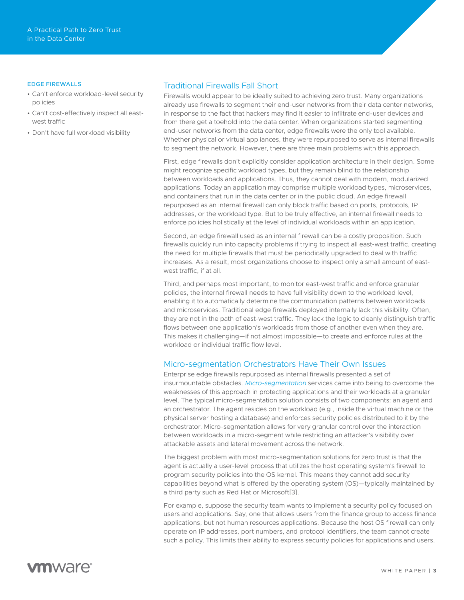#### EDGE FIREWALLS

- Can't enforce workload-level security policies
- Can't cost-effectively inspect all eastwest traffic
- Don't have full workload visibility

#### Traditional Firewalls Fall Short

Firewalls would appear to be ideally suited to achieving zero trust. Many organizations already use firewalls to segment their end-user networks from their data center networks, in response to the fact that hackers may find it easier to infiltrate end-user devices and from there get a toehold into the data center. When organizations started segmenting end-user networks from the data center, edge firewalls were the only tool available. Whether physical or virtual appliances, they were repurposed to serve as internal firewalls to segment the network. However, there are three main problems with this approach.

First, edge firewalls don't explicitly consider application architecture in their design. Some might recognize specific workload types, but they remain blind to the relationship between workloads and applications. Thus, they cannot deal with modern, modularized applications. Today an application may comprise multiple workload types, microservices, and containers that run in the data center or in the public cloud. An edge firewall repurposed as an internal firewall can only block traffic based on ports, protocols, IP addresses, or the workload type. But to be truly effective, an internal firewall needs to enforce policies holistically at the level of individual workloads within an application.

Second, an edge firewall used as an internal firewall can be a costly proposition. Such firewalls quickly run into capacity problems if trying to inspect all east-west traffic, creating the need for multiple firewalls that must be periodically upgraded to deal with traffic increases. As a result, most organizations choose to inspect only a small amount of eastwest traffic, if at all.

Third, and perhaps most important, to monitor east-west traffic and enforce granular policies, the internal firewall needs to have full visibility down to the workload level, enabling it to automatically determine the communication patterns between workloads and microservices. Traditional edge firewalls deployed internally lack this visibility. Often, they are not in the path of east-west traffic. They lack the logic to cleanly distinguish traffic flows between one application's workloads from those of another even when they are. This makes it challenging—if not almost impossible—to create and enforce rules at the workload or individual traffic flow level.

#### Micro-segmentation Orchestrators Have Their Own Issues

Enterprise edge firewalls repurposed as internal firewalls presented a set of insurmountable obstacles. *[Micro-segmentation](https://www.vmware.com/solutions/micro-segmentation.html)* services came into being to overcome the weaknesses of this approach in protecting applications and their workloads at a granular level. The typical micro-segmentation solution consists of two components: an agent and an orchestrator. The agent resides on the workload (e.g., inside the virtual machine or the physical server hosting a database) and enforces security policies distributed to it by the orchestrator. Micro-segmentation allows for very granular control over the interaction between workloads in a micro-segment while restricting an attacker's visibility over attackable assets and lateral movement across the network.

The biggest problem with most micro-segmentation solutions for zero trust is that the agent is actually a user-level process that utilizes the host operating system's firewall to program security policies into the OS kernel. This means they cannot add security capabilities beyond what is offered by the operating system (OS)—typically maintained by a third party such as Red Hat or Microsoft[3].

For example, suppose the security team wants to implement a security policy focused on users and applications. Say, one that allows users from the finance group to access finance applications, but not human resources applications. Because the host OS firewall can only operate on IP addresses, port numbers, and protocol identifiers, the team cannot create such a policy. This limits their ability to express security policies for applications and users.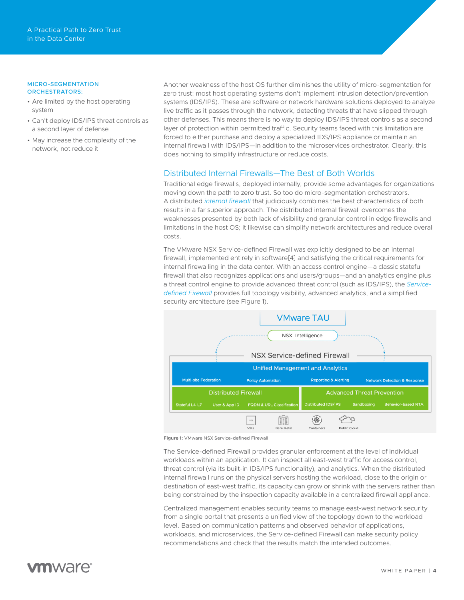#### MICRO-SEGMENTATION ORCHESTRATORS:

- Are limited by the host operating system
- Can't deploy IDS/IPS threat controls as a second layer of defense
- May increase the complexity of the network, not reduce it

Another weakness of the host OS further diminishes the utility of micro-segmentation for zero trust: most host operating systems don't implement intrusion detection/prevention systems (IDS/IPS). These are software or network hardware solutions deployed to analyze live traffic as it passes through the network, detecting threats that have slipped through other defenses. This means there is no way to deploy IDS/IPS threat controls as a second layer of protection within permitted traffic. Security teams faced with this limitation are forced to either purchase and deploy a specialized IDS/IPS appliance or maintain an internal firewall with IDS/IPS—in addition to the microservices orchestrator. Clearly, this does nothing to simplify infrastructure or reduce costs.

#### Distributed Internal Firewalls—The Best of Both Worlds

Traditional edge firewalls, deployed internally, provide some advantages for organizations moving down the path to zero trust. So too do micro-segmentation orchestrators. A distributed *[internal firewall](https://www.vmware.com/security/internal-firewall.html)* that judiciously combines the best characteristics of both results in a far superior approach. The distributed internal firewall overcomes the weaknesses presented by both lack of visibility and granular control in edge firewalls and limitations in the host OS; it likewise can simplify network architectures and reduce overall costs.

The VMware NSX Service-defined Firewall was explicitly designed to be an internal firewall, implemented entirely in software[4] and satisfying the critical requirements for internal firewalling in the data center. With an access control engine—a classic stateful firewall that also recognizes applications and users/groups—and an analytics engine plus a threat control engine to provide advanced threat control (such as IDS/IPS), the *[Service](https://www.vmware.com/security/internal-firewall.html)[defined Firewall](https://www.vmware.com/security/internal-firewall.html)* provides full topology visibility, advanced analytics, and a simplified security architecture (see Figure 1).



**Figure 1:** VMware NSX Service-defined Firewall

The Service-defined Firewall provides granular enforcement at the level of individual workloads within an application. It can inspect all east-west traffic for access control, threat control (via its built-in IDS/IPS functionality), and analytics. When the distributed internal firewall runs on the physical servers hosting the workload, close to the origin or destination of east-west traffic, its capacity can grow or shrink with the servers rather than being constrained by the inspection capacity available in a centralized firewall appliance.

Centralized management enables security teams to manage east-west network security from a single portal that presents a unified view of the topology down to the workload level. Based on communication patterns and observed behavior of applications, workloads, and microservices, the Service-defined Firewall can make security policy recommendations and check that the results match the intended outcomes.

# *m*nware<sup>®</sup>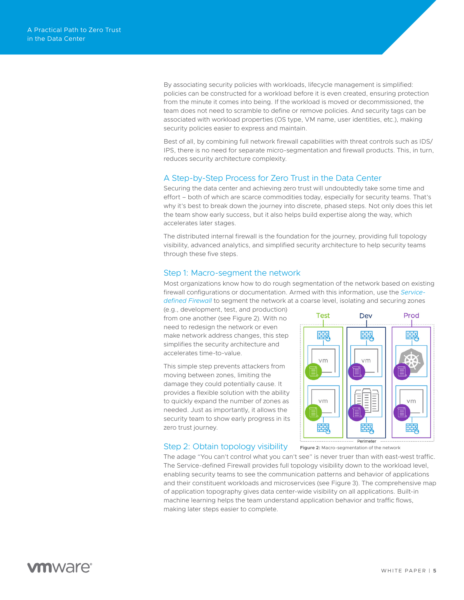By associating security policies with workloads, lifecycle management is simplified: policies can be constructed for a workload before it is even created, ensuring protection from the minute it comes into being. If the workload is moved or decommissioned, the team does not need to scramble to define or remove policies. And security tags can be associated with workload properties (OS type, VM name, user identities, etc.), making security policies easier to express and maintain.

Best of all, by combining full network firewall capabilities with threat controls such as IDS/ IPS, there is no need for separate micro-segmentation and firewall products. This, in turn, reduces security architecture complexity.

#### A Step-by-Step Process for Zero Trust in the Data Center

Securing the data center and achieving zero trust will undoubtedly take some time and effort – both of which are scarce commodities today, especially for security teams. That's why it's best to break down the journey into discrete, phased steps. Not only does this let the team show early success, but it also helps build expertise along the way, which accelerates later stages.

The distributed internal firewall is the foundation for the journey, providing full topology visibility, advanced analytics, and simplified security architecture to help security teams through these five steps.

#### Step 1: Macro-segment the network

Most organizations know how to do rough segmentation of the network based on existing firewall configurations or documentation. Armed with this information, use the *[Service](https://www.vmware.com/security/internal-firewall.html)[defined Firewall](https://www.vmware.com/security/internal-firewall.html)* to segment the network at a coarse level, isolating and securing zones

(e.g., development, test, and production) from one another (see Figure 2). With no need to redesign the network or even make network address changes, this step simplifies the security architecture and accelerates time-to-value.

This simple step prevents attackers from moving between zones, limiting the damage they could potentially cause. It provides a flexible solution with the ability to quickly expand the number of zones as needed. Just as importantly, it allows the security team to show early progress in its zero trust journey.

#### Step 2: Obtain topology visibility



**Figure 2:** Macro-segmentation of the network

The adage "You can't control what you can't see" is never truer than with east-west traffic. The Service-defined Firewall provides full topology visibility down to the workload level, enabling security teams to see the communication patterns and behavior of applications and their constituent workloads and microservices (see Figure 3). The comprehensive map of application topography gives data center-wide visibility on all applications. Built-in machine learning helps the team understand application behavior and traffic flows, making later steps easier to complete.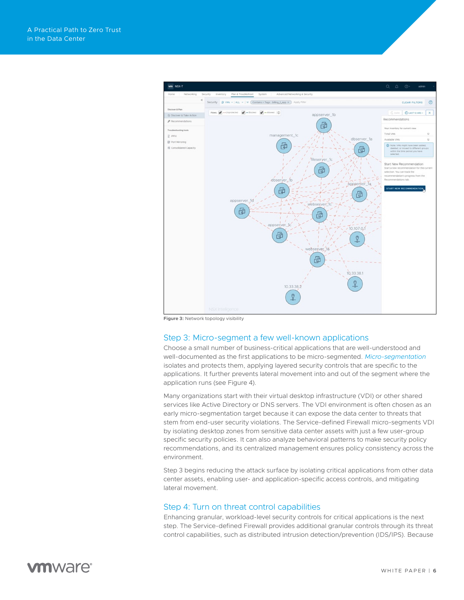

**Figure 3:** Network topology visibility

#### Step 3: Micro-segment a few well-known applications

Choose a small number of business-critical applications that are well-understood and well-documented as the first applications to be micro-segmented. *[Micro-segmentation](https://www.vmware.com/solutions/micro-segmentation.html)* isolates and protects them, applying layered security controls that are specific to the applications. It further prevents lateral movement into and out of the segment where the application runs (see Figure 4).

Many organizations start with their virtual desktop infrastructure (VDI) or other shared services like Active Directory or DNS servers. The VDI environment is often chosen as an early micro-segmentation target because it can expose the data center to threats that stem from end-user security violations. The Service-defined Firewall micro-segments VDI by isolating desktop zones from sensitive data center assets with just a few user-group specific security policies. It can also analyze behavioral patterns to make security policy recommendations, and its centralized management ensures policy consistency across the environment.

Step 3 begins reducing the attack surface by isolating critical applications from other data center assets, enabling user- and application-specific access controls, and mitigating lateral movement.

#### Step 4: Turn on threat control capabilities

Enhancing granular, workload-level security controls for critical applications is the next step. The Service-defined Firewall provides additional granular controls through its threat control capabilities, such as distributed intrusion detection/prevention (IDS/IPS). Because

## **vm**ware<sup>®</sup>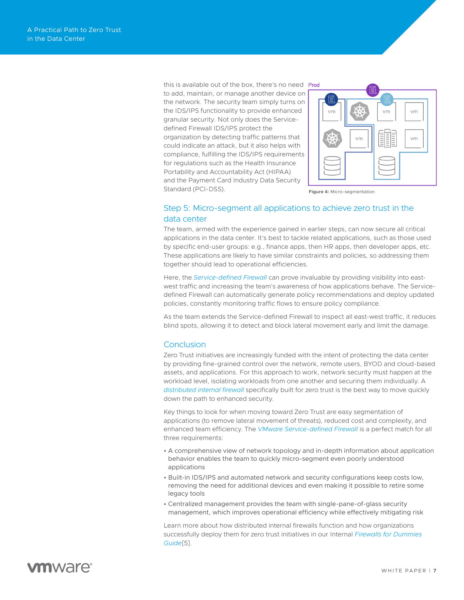this is available out of the box, there's no need Prod to add, maintain, or manage another device on the network. The security team simply turns on the IDS/IPS functionality to provide enhanced granular security. Not only does the Servicedefined Firewall IDS/IPS protect the organization by detecting traffic patterns that could indicate an attack, but it also helps with compliance, fulfilling the IDS/IPS requirements for regulations such as the Health Insurance Portability and Accountability Act (HIPAA) and the Payment Card Industry Data Security Standard (PCI-DSS).



**Figure 4:** Micro-segmentation

#### Step 5: Micro-segment all applications to achieve zero trust in the data center

The team, armed with the experience gained in earlier steps, can now secure all critical applications in the data center. It's best to tackle related applications, such as those used by specific end-user groups: e.g., finance apps, then HR apps, then developer apps, etc. These applications are likely to have similar constraints and policies, so addressing them together should lead to operational efficiencies.

Here, the *[Service-defined Firewall](https://www.vmware.com/security/internal-firewall.html)* can prove invaluable by providing visibility into eastwest traffic and increasing the team's awareness of how applications behave. The Servicedefined Firewall can automatically generate policy recommendations and deploy updated policies, constantly monitoring traffic flows to ensure policy compliance.

As the team extends the Service-defined Firewall to inspect all east-west traffic, it reduces blind spots, allowing it to detect and block lateral movement early and limit the damage.

#### **Conclusion**

Zero Trust initiatives are increasingly funded with the intent of protecting the data center by providing fine-grained control over the network, remote users, BYOD and cloud-based assets, and applications. For this approach to work, network security must happen at the workload level, isolating workloads from one another and securing them individually. A *[distributed internal firewall](https://www.vmware.com/security/internal-firewall.html)* specifically built for zero trust is the best way to move quickly down the path to enhanced security.

Key things to look for when moving toward Zero Trust are easy segmentation of applications (to remove lateral movement of threats), reduced cost and complexity, and enhanced team efficiency. The *[VMware Service-defined Firewall](https://www.vmware.com/security/internal-firewall.html)* is a perfect match for all three requirements:

- A comprehensive view of network topology and in-depth information about application behavior enables the team to quickly micro-segment even poorly understood applications
- Built-in IDS/IPS and automated network and security configurations keep costs low, removing the need for additional devices and even making it possible to retire some legacy tools
- Centralized management provides the team with single-pane-of-glass security management, which improves operational efficiency while effectively mitigating risk

Learn more about how distributed internal firewalls function and how organizations successfully deploy them for zero trust initiatives in our Internal *[Firewalls for Dummies](https://www.vmware.com/content/microsites/learn/en/656351_REG.html)  [Guide](https://www.vmware.com/content/microsites/learn/en/656351_REG.html)*[5].

## *mware*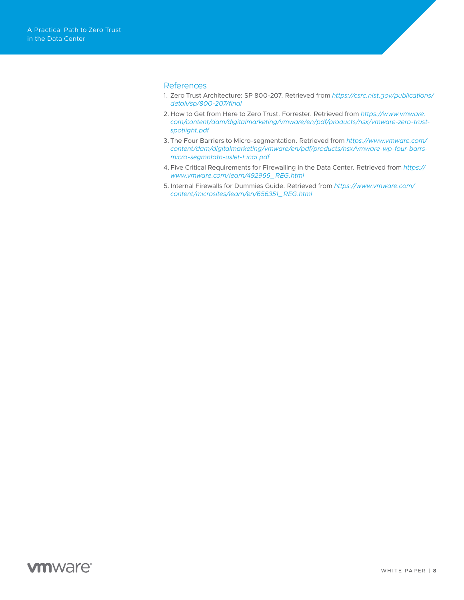#### **References**

- 1. Zero Trust Architecture: SP 800-207. Retrieved from *[https://csrc.nist.gov/publications/](https://csrc.nist.gov/publications/detail/sp/800-207/final) [detail/sp/800-207/final](https://csrc.nist.gov/publications/detail/sp/800-207/final)*
- 2. How to Get from Here to Zero Trust. Forrester. Retrieved from *[https://www.vmware.](https://www.vmware.com/content/dam/digitalmarketing/vmware/en/pdf/products/nsx/vmware-zero-trust-spotlight.pdf) [com/content/dam/digitalmarketing/vmware/en/pdf/products/nsx/vmware-zero-trust](https://www.vmware.com/content/dam/digitalmarketing/vmware/en/pdf/products/nsx/vmware-zero-trust-spotlight.pdf)[spotlight.pdf](https://www.vmware.com/content/dam/digitalmarketing/vmware/en/pdf/products/nsx/vmware-zero-trust-spotlight.pdf)*
- 3. The Four Barriers to Micro-segmentation. Retrieved from *[https://www.vmware.com/](https://www.vmware.com/content/dam/digitalmarketing/vmware/en/pdf/products/nsx/vmware-wp-four-barrs-micro-segmntatn-uslet-Final.pdf) [content/dam/digitalmarketing/vmware/en/pdf/products/nsx/vmware-wp-four-barrs](https://www.vmware.com/content/dam/digitalmarketing/vmware/en/pdf/products/nsx/vmware-wp-four-barrs-micro-segmntatn-uslet-Final.pdf)[micro-segmntatn-uslet-Final.pdf](https://www.vmware.com/content/dam/digitalmarketing/vmware/en/pdf/products/nsx/vmware-wp-four-barrs-micro-segmntatn-uslet-Final.pdf)*
- 4.Five Critical Requirements for Firewalling in the Data Center. Retrieved from *[https://](https://www.vmware.com/learn/492966_REG.html) [www.vmware.com/learn/492966\\_REG.html](https://www.vmware.com/learn/492966_REG.html)*
- 5.Internal Firewalls for Dummies Guide. Retrieved from *[https://www.vmware.com/](https://www.vmware.com/content/microsites/learn/en/656351_REG.html) [content/microsites/learn/en/656351\\_REG.html](https://www.vmware.com/content/microsites/learn/en/656351_REG.html)*

### **vm**ware<sup>®</sup>